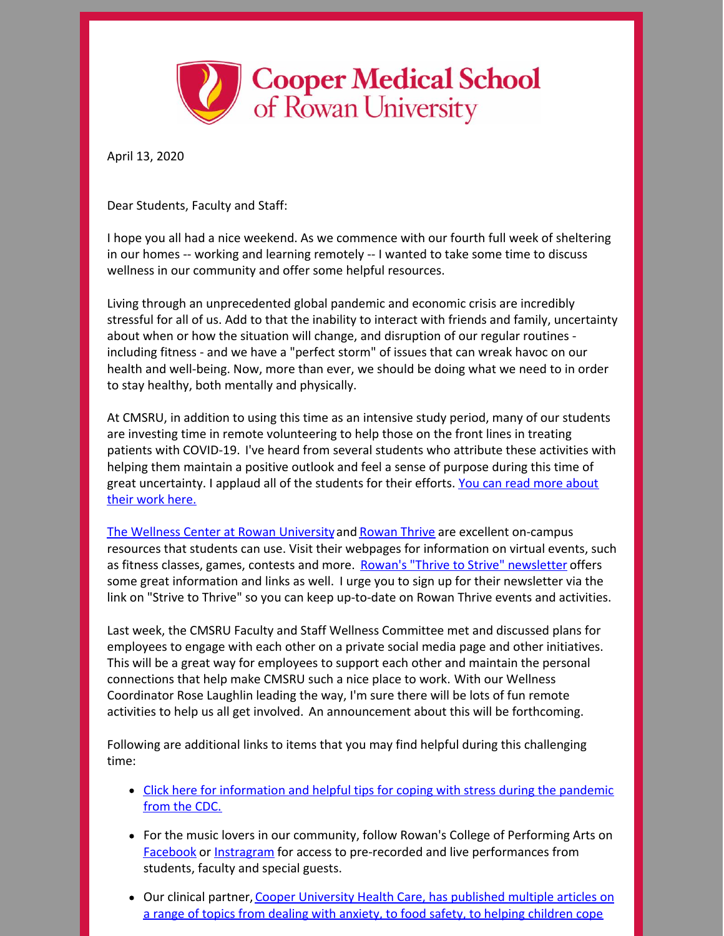

April 13, 2020

Dear Students, Faculty and Staff:

I hope you all had a nice weekend. As we commence with our fourth full week of sheltering in our homes -- working and learning remotely -- I wanted to take some time to discuss wellness in our community and offer some helpful resources.

Living through an unprecedented global pandemic and economic crisis are incredibly stressful for all of us. Add to that the inability to interact with friends and family, uncertainty about when or how the situation will change, and disruption of our regular routines including fitness - and we have a "perfect storm" of issues that can wreak havoc on our health and well-being. Now, more than ever, we should be doing what we need to in order to stay healthy, both mentally and physically.

At CMSRU, in addition to using this time as an intensive study period, many of our students are investing time in remote volunteering to help those on the front lines in treating patients with COVID-19. I've heard from several students who attribute these activities with helping them maintain a positive outlook and feel a sense of purpose during this time of great [uncertainty.](https://cmsru.rowan.edu/about/news/details/2020-cmsru-students-lend-a-virtual-hand-during-covid19-pandemic) I applaud all of the students for their efforts. You can read more about their work here.

The Wellness Center at Rowan [University](https://sites.rowan.edu/wellness/index.html)and [Rowan](https://sites.rowan.edu/studentaffairs/initiatives/well-being/index.html) Thrive are excellent on-campus resources that students can use. Visit their webpages for information on virtual events, such as fitness classes, games, contests and more. Rowan's "Thrive to Strive" [newsletter](https://myemail.constantcontact.com/Profs-Persevere---Strive-to-Thrive--Rowan-Well-Being-Newsletter.html?soid=1106819488040&aid=ax7d4DvCKpM) offers some great information and links as well. I urge you to sign up for their newsletter via the link on "Strive to Thrive" so you can keep up-to-date on Rowan Thrive events and activities.

Last week, the CMSRU Faculty and Staff Wellness Committee met and discussed plans for employees to engage with each other on a private social media page and other initiatives. This will be a great way for employees to support each other and maintain the personal connections that help make CMSRU such a nice place to work. With our Wellness Coordinator Rose Laughlin leading the way, I'm sure there will be lots of fun remote activities to help us all get involved. An announcement about this will be forthcoming.

Following are additional links to items that you may find helpful during this challenging time:

- Click here for [information](https://www.cdc.gov/coronavirus/2019-ncov/daily-life-coping/managing-stress-anxiety.html) and helpful tips for coping with stress during the pandemic from the CDC.
- For the music lovers in our community, follow Rowan's College of Performing Arts on [Facebook](https://www.facebook.com/PerformingArtsatRowan/) or [Instragram](https://www.instagram.com/performingartsatrowan/) for access to pre-recorded and live performances from students, faculty and special guests.
- Our clinical partner, Cooper [University](https://www.cooperhealth.org/patients-visitors/coronavirus-covid-19-information/articles-about-covid-19-cooper-experts) Health Care, has published multiple articles on a range of topics from dealing with anxiety, to food safety, to helping children cope